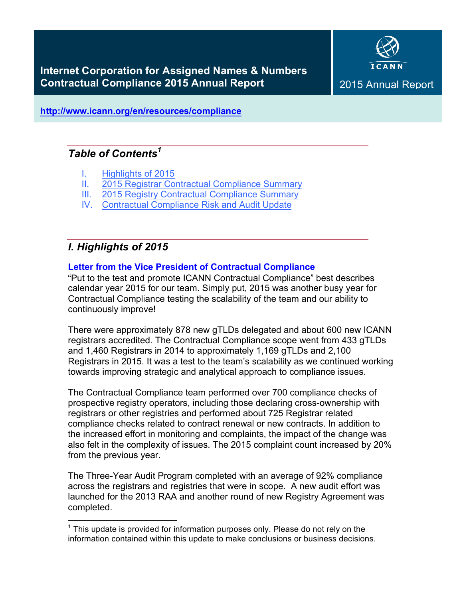

**http://www.icann.org/en/resources/compliance**

# *Table of Contents<sup>1</sup>*

- I. Highlights of 2015
- II. 2015 Registrar Contractual Compliance Summary
- III. 2015 Registry Contractual Compliance Summary
- IV. Contractual Compliance Risk and Audit Update

# *I. Highlights of 2015*

# **Letter from the Vice President of Contractual Compliance**

"Put to the test and promote ICANN Contractual Compliance" best describes calendar year 2015 for our team. Simply put, 2015 was another busy year for Contractual Compliance testing the scalability of the team and our ability to continuously improve!

There were approximately 878 new gTLDs delegated and about 600 new ICANN registrars accredited. The Contractual Compliance scope went from 433 gTLDs and 1,460 Registrars in 2014 to approximately 1,169 gTLDs and 2,100 Registrars in 2015. It was a test to the team's scalability as we continued working towards improving strategic and analytical approach to compliance issues.

The Contractual Compliance team performed over 700 compliance checks of prospective registry operators, including those declaring cross-ownership with registrars or other registries and performed about 725 Registrar related compliance checks related to contract renewal or new contracts. In addition to the increased effort in monitoring and complaints, the impact of the change was also felt in the complexity of issues. The 2015 complaint count increased by 20% from the previous year.

The Three-Year Audit Program completed with an average of 92% compliance across the registrars and registries that were in scope. A new audit effort was launched for the 2013 RAA and another round of new Registry Agreement was completed.

 $1$  This update is provided for information purposes only. Please do not rely on the information contained within this update to make conclusions or business decisions.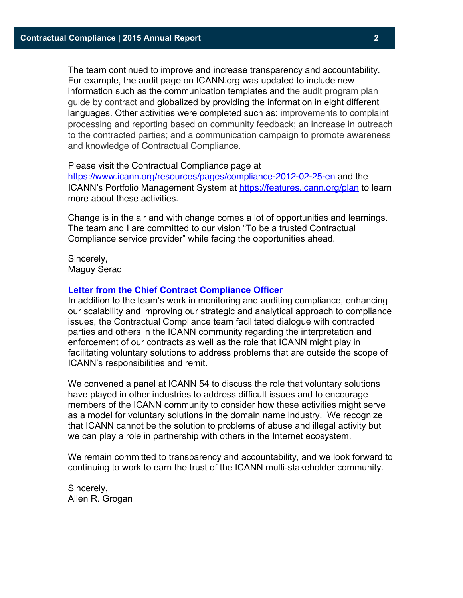The team continued to improve and increase transparency and accountability. For example, the audit page on ICANN.org was updated to include new information such as the communication templates and the audit program plan guide by contract and globalized by providing the information in eight different languages. Other activities were completed such as: improvements to complaint processing and reporting based on community feedback; an increase in outreach to the contracted parties; and a communication campaign to promote awareness and knowledge of Contractual Compliance.

#### Please visit the Contractual Compliance page at

https://www.icann.org/resources/pages/compliance-2012-02-25-en and the ICANN's Portfolio Management System at https://features.icann.org/plan to learn more about these activities.

Change is in the air and with change comes a lot of opportunities and learnings. The team and I are committed to our vision "To be a trusted Contractual Compliance service provider" while facing the opportunities ahead.

Sincerely, Maguy Serad

# **Letter from the Chief Contract Compliance Officer**

In addition to the team's work in monitoring and auditing compliance, enhancing our scalability and improving our strategic and analytical approach to compliance issues, the Contractual Compliance team facilitated dialogue with contracted parties and others in the ICANN community regarding the interpretation and enforcement of our contracts as well as the role that ICANN might play in facilitating voluntary solutions to address problems that are outside the scope of ICANN's responsibilities and remit.

We convened a panel at ICANN 54 to discuss the role that voluntary solutions have played in other industries to address difficult issues and to encourage members of the ICANN community to consider how these activities might serve as a model for voluntary solutions in the domain name industry. We recognize that ICANN cannot be the solution to problems of abuse and illegal activity but we can play a role in partnership with others in the Internet ecosystem.

We remain committed to transparency and accountability, and we look forward to continuing to work to earn the trust of the ICANN multi-stakeholder community.

Sincerely, Allen R. Grogan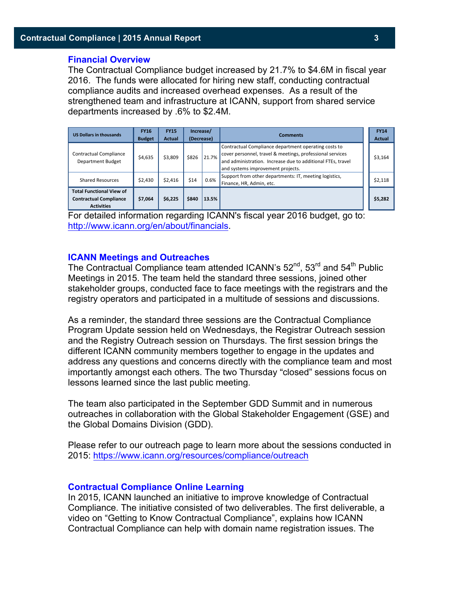#### **Financial Overview**

The Contractual Compliance budget increased by 21.7% to \$4.6M in fiscal year 2016. The funds were allocated for hiring new staff, conducting contractual compliance audits and increased overhead expenses. As a result of the strengthened team and infrastructure at ICANN, support from shared service departments increased by .6% to \$2.4M.

| <b>US Dollars in thousands</b>                                                        | <b>FY16</b><br><b>Budget</b> | <b>FY15</b><br><b>Actual</b> |       | Increase/<br>(Decrease) | <b>Comments</b>                                                                                                                                                                                                       | <b>FY14</b><br><b>Actual</b> |
|---------------------------------------------------------------------------------------|------------------------------|------------------------------|-------|-------------------------|-----------------------------------------------------------------------------------------------------------------------------------------------------------------------------------------------------------------------|------------------------------|
| <b>Contractual Compliance</b><br><b>Department Budget</b>                             | \$4,635                      | \$3,809                      | \$826 | 21.7%                   | Contractual Compliance department operating costs to<br>cover personnel, travel & meetings, professional services<br>and administration. Increase due to additional FTEs, travel<br>and systems improvement projects. | \$3,164                      |
| <b>Shared Resources</b>                                                               | \$2,430                      | \$2,416                      | \$14  | 0.6%                    | Support from other departments: IT, meeting logistics,<br>Finance, HR, Admin, etc.                                                                                                                                    | \$2,118                      |
| <b>Total Functional View of</b><br><b>Contractual Compliance</b><br><b>Activities</b> | \$7.064                      | \$6,225                      | \$840 | 13.5%                   |                                                                                                                                                                                                                       | \$5,282                      |

For detailed information regarding ICANN's fiscal year 2016 budget, go to: http://www.icann.org/en/about/financials.

#### **ICANN Meetings and Outreaches**

The Contractual Compliance team attended ICANN's 52<sup>nd</sup>, 53<sup>rd</sup> and 54<sup>th</sup> Public Meetings in 2015. The team held the standard three sessions, joined other stakeholder groups, conducted face to face meetings with the registrars and the registry operators and participated in a multitude of sessions and discussions.

As a reminder, the standard three sessions are the Contractual Compliance Program Update session held on Wednesdays, the Registrar Outreach session and the Registry Outreach session on Thursdays. The first session brings the different ICANN community members together to engage in the updates and address any questions and concerns directly with the compliance team and most importantly amongst each others. The two Thursday "closed" sessions focus on lessons learned since the last public meeting.

The team also participated in the September GDD Summit and in numerous outreaches in collaboration with the Global Stakeholder Engagement (GSE) and the Global Domains Division (GDD).

Please refer to our outreach page to learn more about the sessions conducted in 2015: https://www.icann.org/resources/compliance/outreach

#### **Contractual Compliance Online Learning**

In 2015, ICANN launched an initiative to improve knowledge of Contractual Compliance. The initiative consisted of two deliverables. The first deliverable, a video on "Getting to Know Contractual Compliance", explains how ICANN Contractual Compliance can help with domain name registration issues. The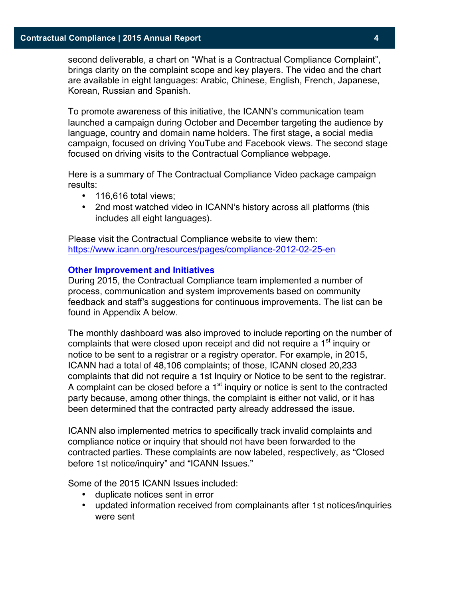second deliverable, a chart on "What is a Contractual Compliance Complaint", brings clarity on the complaint scope and key players. The video and the chart are available in eight languages: Arabic, Chinese, English, French, Japanese, Korean, Russian and Spanish.

To promote awareness of this initiative, the ICANN's communication team launched a campaign during October and December targeting the audience by language, country and domain name holders. The first stage, a social media campaign, focused on driving YouTube and Facebook views. The second stage focused on driving visits to the Contractual Compliance webpage.

Here is a summary of The Contractual Compliance Video package campaign results:

- 116,616 total views;
- 2nd most watched video in ICANN's history across all platforms (this includes all eight languages).

Please visit the Contractual Compliance website to view them: https://www.icann.org/resources/pages/compliance-2012-02-25-en

#### **Other Improvement and Initiatives**

During 2015, the Contractual Compliance team implemented a number of process, communication and system improvements based on community feedback and staff's suggestions for continuous improvements. The list can be found in Appendix A below.

The monthly dashboard was also improved to include reporting on the number of complaints that were closed upon receipt and did not require a 1<sup>st</sup> inquiry or notice to be sent to a registrar or a registry operator. For example, in 2015, ICANN had a total of 48,106 complaints; of those, ICANN closed 20,233 complaints that did not require a 1st Inquiry or Notice to be sent to the registrar. A complaint can be closed before a  $1<sup>st</sup>$  inquiry or notice is sent to the contracted party because, among other things, the complaint is either not valid, or it has been determined that the contracted party already addressed the issue.

ICANN also implemented metrics to specifically track invalid complaints and compliance notice or inquiry that should not have been forwarded to the contracted parties. These complaints are now labeled, respectively, as "Closed before 1st notice/inquiry" and "ICANN Issues."

Some of the 2015 ICANN Issues included:

- duplicate notices sent in error
- updated information received from complainants after 1st notices/inquiries were sent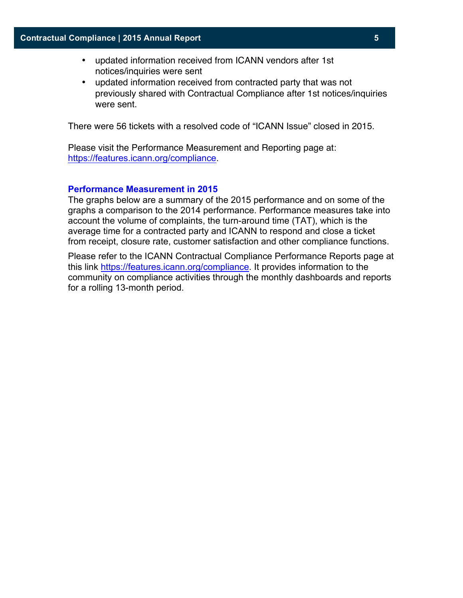- updated information received from ICANN vendors after 1st notices/inquiries were sent
- updated information received from contracted party that was not previously shared with Contractual Compliance after 1st notices/inquiries were sent.

There were 56 tickets with a resolved code of "ICANN Issue" closed in 2015.

Please visit the Performance Measurement and Reporting page at: https://features.icann.org/compliance.

#### **Performance Measurement in 2015**

The graphs below are a summary of the 2015 performance and on some of the graphs a comparison to the 2014 performance. Performance measures take into account the volume of complaints, the turn-around time (TAT), which is the average time for a contracted party and ICANN to respond and close a ticket from receipt, closure rate, customer satisfaction and other compliance functions.

Please refer to the ICANN Contractual Compliance Performance Reports page at this link https://features.icann.org/compliance. It provides information to the community on compliance activities through the monthly dashboards and reports for a rolling 13-month period.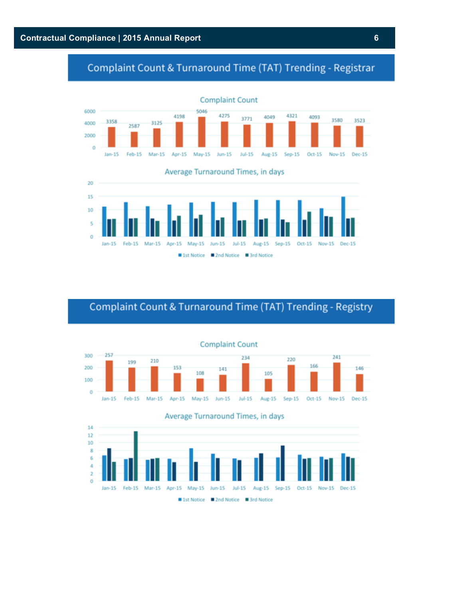# Complaint Count & Turnaround Time (TAT) Trending - Registrar





# Complaint Count & Turnaround Time (TAT) Trending - Registry





Average Turnaround Times, in days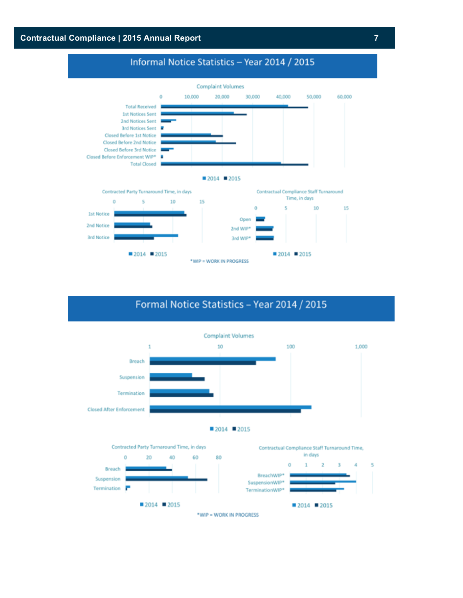# **Contractual Compliance | 2015 Annual Report 7**

# Informal Notice Statistics - Year 2014 / 2015



# Formal Notice Statistics - Year 2014 / 2015



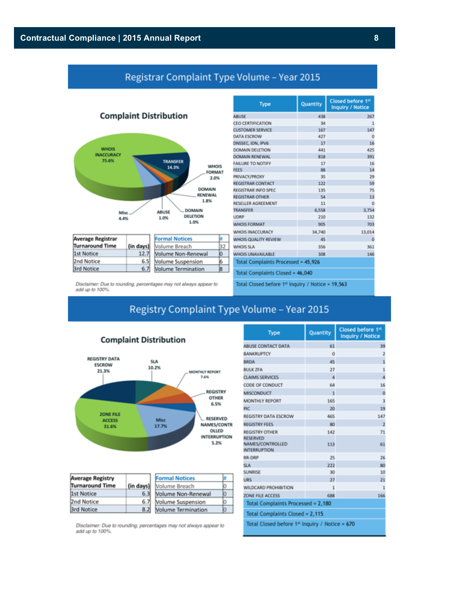# Registrar Complaint Type Volume - Year 2015



| Average Registrar      |           | <b>Formal Notices</b> |  |
|------------------------|-----------|-----------------------|--|
| <b>Turnaround Time</b> | (in days) | Volume Breach         |  |
| 1st Notice             | 12.7      | Volume Non-Renewal    |  |
| 2nd Notice             | 6.51      | Volume Suspension     |  |
| 3rd Notice             | 6.7       | Volume Termination    |  |

| Type                                | Quantity | Closed before 1st<br><b>Inquiry / Notice</b> |  |  |  |
|-------------------------------------|----------|----------------------------------------------|--|--|--|
| <b>ABUSE</b>                        | 438      | 267                                          |  |  |  |
| CEO CERTIFICATION                   | 34       | 1                                            |  |  |  |
| <b>CUSTOMER SERVICE</b>             | 167      | 147                                          |  |  |  |
| DATA ESCROW                         | 427      | O                                            |  |  |  |
| DNSSEC, IDN, IPV6                   | 17       | 16                                           |  |  |  |
| DOMAIN DELETION                     | 441      | 425                                          |  |  |  |
| DOMAIN RENEWAL                      | 818      | 391                                          |  |  |  |
| <b>FAILURE TO NOTIFY</b>            | 17       | 16                                           |  |  |  |
| <b>FEES</b>                         | 88       | 14                                           |  |  |  |
| PRIVACY/PROXY                       | 35       | 29                                           |  |  |  |
| <b>REGISTRAR CONTACT</b>            | 122      | 59                                           |  |  |  |
| REGISTRAR INFO SPEC                 | 135      | 75                                           |  |  |  |
| <b>REGISTRAR OTHER</b>              | 54       | 13                                           |  |  |  |
| RESELLER AGREEMENT                  | 11       | $\Omega$                                     |  |  |  |
| <b><i>TRANSFER</i></b>              | 6,558    | 3,754                                        |  |  |  |
| <b>UDRP</b>                         | 210      | 132                                          |  |  |  |
| <b>WHOIS FORMAT</b>                 | 905      | 703                                          |  |  |  |
| WHOIS INACCURACY                    | 34,740   | 13.014                                       |  |  |  |
| WHOIS QUALITY REVIEW                | 45       | $\Omega$                                     |  |  |  |
| <b>WHOIS SLA</b>                    | 356      | 361                                          |  |  |  |
| WHOIS UNAVAILABLE                   | 308      | 146                                          |  |  |  |
| Total Complaints Processed = 45,926 |          |                                              |  |  |  |
| Total Complaints Closed = 46,040    |          |                                              |  |  |  |
|                                     |          |                                              |  |  |  |

Disclaimer: Due to rounding, percentages may not always appear to<br>add up to 100%.

Total Closed before 1<sup>st</sup> Inquiry / Notice = 19,563

# Registry Complaint Type Volume - Year 2015



| <b>Average Registry</b> |           | <b>Formal Notices</b>     |  |
|-------------------------|-----------|---------------------------|--|
| <b>Turnaround Time</b>  | (in days) | Volume Breach             |  |
| 1st Notice              | 6.31      | <b>Nolume Non-Renewal</b> |  |
| 2nd Notice              | 6.71      | Volume Suspension         |  |
| <b>Brd Notice</b>       | 8.2       | <b>Nolume Termination</b> |  |

Disclaimer: Due to rounding, percentages may not always appear to add up to 100%.

| Type                                                       | Quantity | Closed before 1 <sup>st</sup><br><b>Inquiry / Notice</b> |  |  |
|------------------------------------------------------------|----------|----------------------------------------------------------|--|--|
| ABUSE CONTACT DATA                                         | 61       | 39                                                       |  |  |
| <b>BANKRUPTCY</b>                                          | O        | 2                                                        |  |  |
| <b>BRDA</b>                                                | 45       | $\overline{1}$                                           |  |  |
| <b>BULK ZFA</b>                                            | 27       | $\mathbf{1}$                                             |  |  |
| <b>CLAIMS SERVICES</b>                                     | 4        | 4                                                        |  |  |
| CODE OF CONDUCT                                            | 64       | 16                                                       |  |  |
| <b>MISCONDUCT</b>                                          | ĩ        | Ō                                                        |  |  |
| MONTHLY REPORT                                             | 165      | 3                                                        |  |  |
| PIC                                                        | 20       | 19                                                       |  |  |
| REGISTRY DATA ESCROW                                       | 465      | 147                                                      |  |  |
| <b>REGISTRY FEES</b>                                       | 80       | $\overline{2}$                                           |  |  |
| <b>REGISTRY OTHER</b>                                      | 142      | 71                                                       |  |  |
| <b>RESERVED</b><br>NAMES/CONTROLLED<br><b>INTERRUPTION</b> | 113      | 61                                                       |  |  |
| RR-DRP                                                     | 25       | 26                                                       |  |  |
| <b>SLA</b>                                                 | 222      | 80                                                       |  |  |
| SUNRISE                                                    | 30       | 10                                                       |  |  |
| <b>URS</b>                                                 | 27       | 21                                                       |  |  |
| WILDCARD PROHIBITION                                       | 1        | 1                                                        |  |  |
| ZONE FILE ACCESS<br>688                                    |          |                                                          |  |  |
| Total Complaints Processed = 2,180                         |          |                                                          |  |  |
| Total Complaints Closed = 2,115                            |          |                                                          |  |  |
| Total Closed before 1 <sup>st</sup> Inquiry / Notice = 670 |          |                                                          |  |  |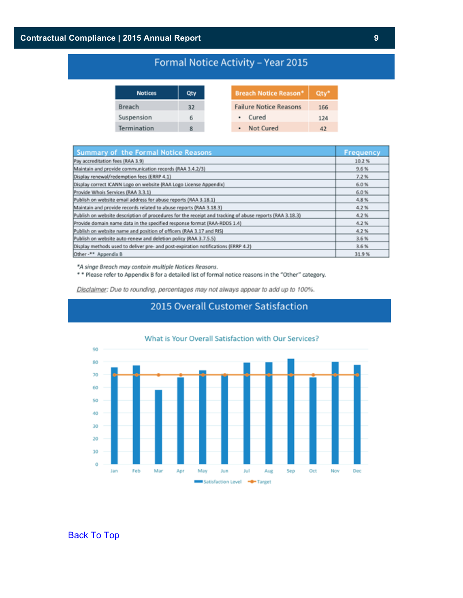# **Contractual Compliance | 2015 Annual Report 9**

# Formal Notice Activity - Year 2015

e Reason\*

Qty\*

166 124

42

| <b>Notices</b> | Qty |
|----------------|-----|
| Breach         | 32  |
| Suspension     | 6   |
| Termination    | R   |

| Summary of the Formal Notice Reasons                                                                    | Frequency |
|---------------------------------------------------------------------------------------------------------|-----------|
| Pay accreditation fees (RAA 3.9)                                                                        | 10.2%     |
| Maintain and provide communication records (RAA 3.4.2/3)                                                | 9.6%      |
| Display renewal/redemption fees (ERRP 4.1)                                                              | 7.2%      |
| Display correct ICANN Logo on website (RAA Logo License Appendix)                                       | 6.0%      |
| Provide Whois Services (RAA 3.3.1)                                                                      | 6.0%      |
| Publish on website email address for abuse reports (RAA 3.18.1)                                         | 4.8%      |
| Maintain and provide records related to abuse reports (RAA 3.18.3)                                      | 4.2%      |
| Publish on website description of procedures for the receipt and tracking of abuse reports (RAA 3.18.3) | 4.2%      |
| Provide domain name data in the specified response format (RAA-RDDS 1.4)                                | 4.2%      |
| Publish on website name and position of officers (RAA 3.17 and RIS)                                     | 4.2%      |
| Publish on website auto-renew and deletion policy (RAA 3.7.5.5)                                         | 3.6%      |
| Display methods used to deliver pre- and post-expiration notifications (ERRP 4.2)                       | 3.6%      |
| Other -** Appendix B                                                                                    | 31.9%     |

\*A singe Breach may contain multiple Notices Reasons.

\*\* Please refer to Appendix B for a detailed list of formal notice reasons in the "Other" category.

Disclaimer: Due to rounding, percentages may not always appear to add up to 100%.



# 2015 Overall Customer Satisfaction

# **Back To Top**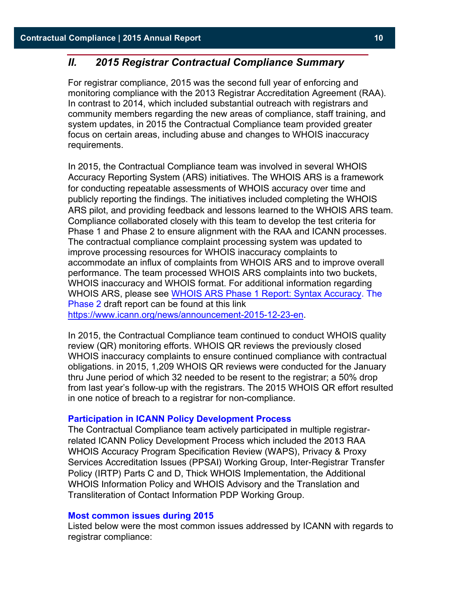# *II. 2015 Registrar Contractual Compliance Summary*

For registrar compliance, 2015 was the second full year of enforcing and monitoring compliance with the 2013 Registrar Accreditation Agreement (RAA). In contrast to 2014, which included substantial outreach with registrars and community members regarding the new areas of compliance, staff training, and system updates, in 2015 the Contractual Compliance team provided greater focus on certain areas, including abuse and changes to WHOIS inaccuracy requirements.

In 2015, the Contractual Compliance team was involved in several WHOIS Accuracy Reporting System (ARS) initiatives. The WHOIS ARS is a framework for conducting repeatable assessments of WHOIS accuracy over time and publicly reporting the findings. The initiatives included completing the WHOIS ARS pilot, and providing feedback and lessons learned to the WHOIS ARS team. Compliance collaborated closely with this team to develop the test criteria for Phase 1 and Phase 2 to ensure alignment with the RAA and ICANN processes. The contractual compliance complaint processing system was updated to improve processing resources for WHOIS inaccuracy complaints to accommodate an influx of complaints from WHOIS ARS and to improve overall performance. The team processed WHOIS ARS complaints into two buckets, WHOIS inaccuracy and WHOIS format. For additional information regarding WHOIS ARS, please see WHOIS ARS Phase 1 Report: Syntax Accuracy. The Phase 2 draft report can be found at this link https://www.icann.org/news/announcement-2015-12-23-en.

In 2015, the Contractual Compliance team continued to conduct WHOIS quality review (QR) monitoring efforts. WHOIS QR reviews the previously closed WHOIS inaccuracy complaints to ensure continued compliance with contractual obligations. in 2015, 1,209 WHOIS QR reviews were conducted for the January thru June period of which 32 needed to be resent to the registrar; a 50% drop from last year's follow-up with the registrars. The 2015 WHOIS QR effort resulted in one notice of breach to a registrar for non-compliance.

#### **Participation in ICANN Policy Development Process**

The Contractual Compliance team actively participated in multiple registrarrelated ICANN Policy Development Process which included the 2013 RAA WHOIS Accuracy Program Specification Review (WAPS), Privacy & Proxy Services Accreditation Issues (PPSAI) Working Group, Inter-Registrar Transfer Policy (IRTP) Parts C and D, Thick WHOIS Implementation, the Additional WHOIS Information Policy and WHOIS Advisory and the Translation and Transliteration of Contact Information PDP Working Group.

#### **Most common issues during 2015**

Listed below were the most common issues addressed by ICANN with regards to registrar compliance: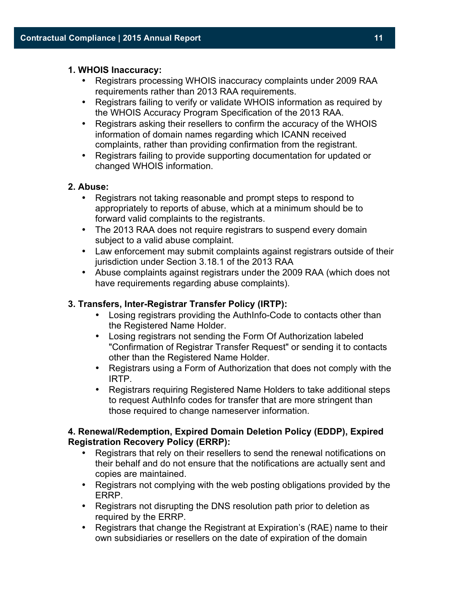# **1. WHOIS Inaccuracy:**

- Registrars processing WHOIS inaccuracy complaints under 2009 RAA requirements rather than 2013 RAA requirements.
- Registrars failing to verify or validate WHOIS information as required by the WHOIS Accuracy Program Specification of the 2013 RAA.
- Registrars asking their resellers to confirm the accuracy of the WHOIS information of domain names regarding which ICANN received complaints, rather than providing confirmation from the registrant.
- Registrars failing to provide supporting documentation for updated or changed WHOIS information.

# **2. Abuse:**

- Registrars not taking reasonable and prompt steps to respond to appropriately to reports of abuse, which at a minimum should be to forward valid complaints to the registrants.
- The 2013 RAA does not require registrars to suspend every domain subject to a valid abuse complaint.
- Law enforcement may submit complaints against registrars outside of their jurisdiction under Section 3.18.1 of the 2013 RAA
- Abuse complaints against registrars under the 2009 RAA (which does not have requirements regarding abuse complaints).

# **3. Transfers, Inter-Registrar Transfer Policy (IRTP):**

- Losing registrars providing the AuthInfo-Code to contacts other than the Registered Name Holder.
- Losing registrars not sending the Form Of Authorization labeled "Confirmation of Registrar Transfer Request" or sending it to contacts other than the Registered Name Holder.
- Registrars using a Form of Authorization that does not comply with the IRTP.
- Registrars requiring Registered Name Holders to take additional steps to request AuthInfo codes for transfer that are more stringent than those required to change nameserver information.

# **4. Renewal/Redemption, Expired Domain Deletion Policy (EDDP), Expired Registration Recovery Policy (ERRP):**

- Registrars that rely on their resellers to send the renewal notifications on their behalf and do not ensure that the notifications are actually sent and copies are maintained.
- Registrars not complying with the web posting obligations provided by the ERRP.
- Registrars not disrupting the DNS resolution path prior to deletion as required by the ERRP.
- Registrars that change the Registrant at Expiration's (RAE) name to their own subsidiaries or resellers on the date of expiration of the domain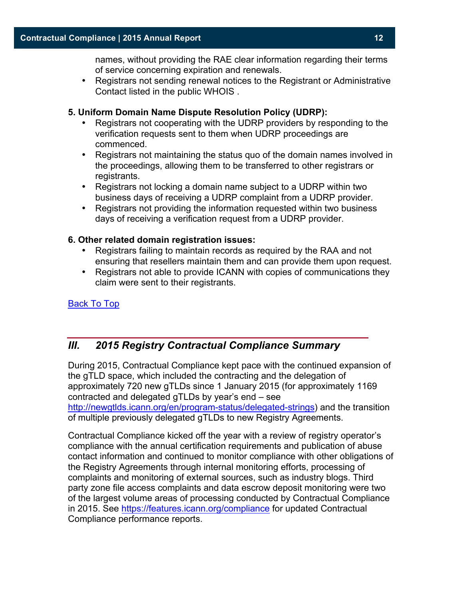names, without providing the RAE clear information regarding their terms of service concerning expiration and renewals.

• Registrars not sending renewal notices to the Registrant or Administrative Contact listed in the public WHOIS .

# **5. Uniform Domain Name Dispute Resolution Policy (UDRP):**

- Registrars not cooperating with the UDRP providers by responding to the verification requests sent to them when UDRP proceedings are commenced.
- Registrars not maintaining the status quo of the domain names involved in the proceedings, allowing them to be transferred to other registrars or registrants.
- Registrars not locking a domain name subject to a UDRP within two business days of receiving a UDRP complaint from a UDRP provider.
- Registrars not providing the information requested within two business days of receiving a verification request from a UDRP provider.

#### **6. Other related domain registration issues:**

- Registrars failing to maintain records as required by the RAA and not ensuring that resellers maintain them and can provide them upon request.
- Registrars not able to provide ICANN with copies of communications they claim were sent to their registrants.

Back To Top

# *III. 2015 Registry Contractual Compliance Summary*

During 2015, Contractual Compliance kept pace with the continued expansion of the gTLD space, which included the contracting and the delegation of approximately 720 new gTLDs since 1 January 2015 (for approximately 1169 contracted and delegated gTLDs by year's end – see

http://newgtlds.icann.org/en/program-status/delegated-strings) and the transition of multiple previously delegated gTLDs to new Registry Agreements.

Contractual Compliance kicked off the year with a review of registry operator's compliance with the annual certification requirements and publication of abuse contact information and continued to monitor compliance with other obligations of the Registry Agreements through internal monitoring efforts, processing of complaints and monitoring of external sources, such as industry blogs. Third party zone file access complaints and data escrow deposit monitoring were two of the largest volume areas of processing conducted by Contractual Compliance in 2015. See https://features.icann.org/compliance for updated Contractual Compliance performance reports.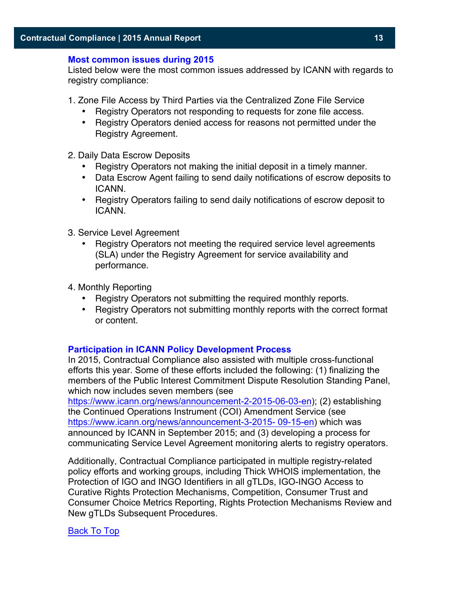#### **Most common issues during 2015**

Listed below were the most common issues addressed by ICANN with regards to registry compliance:

- 1. Zone File Access by Third Parties via the Centralized Zone File Service
	- Registry Operators not responding to requests for zone file access.
	- Registry Operators denied access for reasons not permitted under the Registry Agreement.
- 2. Daily Data Escrow Deposits
	- Registry Operators not making the initial deposit in a timely manner.
	- Data Escrow Agent failing to send daily notifications of escrow deposits to ICANN.
	- Registry Operators failing to send daily notifications of escrow deposit to ICANN.
- 3. Service Level Agreement
	- Registry Operators not meeting the required service level agreements (SLA) under the Registry Agreement for service availability and performance.
- 4. Monthly Reporting
	- Registry Operators not submitting the required monthly reports.
	- Registry Operators not submitting monthly reports with the correct format or content.

# **Participation in ICANN Policy Development Process**

In 2015, Contractual Compliance also assisted with multiple cross-functional efforts this year. Some of these efforts included the following: (1) finalizing the members of the Public Interest Commitment Dispute Resolution Standing Panel, which now includes seven members (see

https://www.icann.org/news/announcement-2-2015-06-03-en); (2) establishing the Continued Operations Instrument (COI) Amendment Service (see https://www.icann.org/news/announcement-3-2015- 09-15-en) which was announced by ICANN in September 2015; and (3) developing a process for communicating Service Level Agreement monitoring alerts to registry operators.

Additionally, Contractual Compliance participated in multiple registry-related policy efforts and working groups, including Thick WHOIS implementation, the Protection of IGO and INGO Identifiers in all gTLDs, IGO-INGO Access to Curative Rights Protection Mechanisms, Competition, Consumer Trust and Consumer Choice Metrics Reporting, Rights Protection Mechanisms Review and New gTLDs Subsequent Procedures.

# Back To Top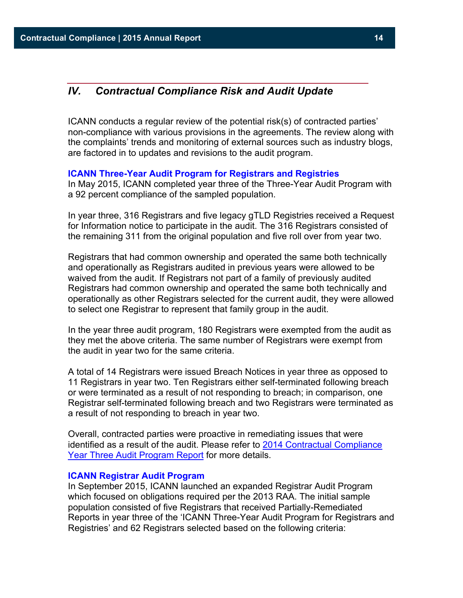# *IV. Contractual Compliance Risk and Audit Update*

ICANN conducts a regular review of the potential risk(s) of contracted parties' non-compliance with various provisions in the agreements. The review along with the complaints' trends and monitoring of external sources such as industry blogs, are factored in to updates and revisions to the audit program.

#### **ICANN Three-Year Audit Program for Registrars and Registries**

In May 2015, ICANN completed year three of the Three-Year Audit Program with a 92 percent compliance of the sampled population.

In year three, 316 Registrars and five legacy gTLD Registries received a Request for Information notice to participate in the audit. The 316 Registrars consisted of the remaining 311 from the original population and five roll over from year two.

Registrars that had common ownership and operated the same both technically and operationally as Registrars audited in previous years were allowed to be waived from the audit. If Registrars not part of a family of previously audited Registrars had common ownership and operated the same both technically and operationally as other Registrars selected for the current audit, they were allowed to select one Registrar to represent that family group in the audit.

In the year three audit program, 180 Registrars were exempted from the audit as they met the above criteria. The same number of Registrars were exempt from the audit in year two for the same criteria.

A total of 14 Registrars were issued Breach Notices in year three as opposed to 11 Registrars in year two. Ten Registrars either self-terminated following breach or were terminated as a result of not responding to breach; in comparison, one Registrar self-terminated following breach and two Registrars were terminated as a result of not responding to breach in year two.

Overall, contracted parties were proactive in remediating issues that were identified as a result of the audit. Please refer to 2014 Contractual Compliance Year Three Audit Program Report for more details.

#### **ICANN Registrar Audit Program**

In September 2015, ICANN launched an expanded Registrar Audit Program which focused on obligations required per the 2013 RAA. The initial sample population consisted of five Registrars that received Partially-Remediated Reports in year three of the 'ICANN Three-Year Audit Program for Registrars and Registries' and 62 Registrars selected based on the following criteria: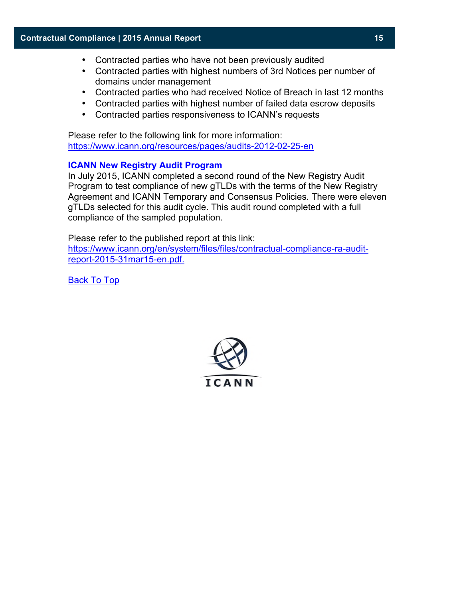- Contracted parties who have not been previously audited
- Contracted parties with highest numbers of 3rd Notices per number of domains under management
- Contracted parties who had received Notice of Breach in last 12 months
- Contracted parties with highest number of failed data escrow deposits
- Contracted parties responsiveness to ICANN's requests

Please refer to the following link for more information: https://www.icann.org/resources/pages/audits-2012-02-25-en

#### **ICANN New Registry Audit Program**

In July 2015, ICANN completed a second round of the New Registry Audit Program to test compliance of new gTLDs with the terms of the New Registry Agreement and ICANN Temporary and Consensus Policies. There were eleven gTLDs selected for this audit cycle. This audit round completed with a full compliance of the sampled population.

Please refer to the published report at this link:

https://www.icann.org/en/system/files/files/contractual-compliance-ra-auditreport-2015-31mar15-en.pdf.

Back To Top

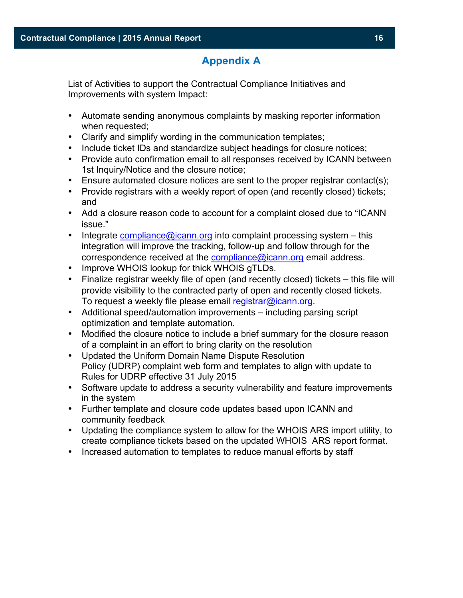# **Appendix A**

List of Activities to support the Contractual Compliance Initiatives and Improvements with system Impact:

- Automate sending anonymous complaints by masking reporter information when requested;
- Clarify and simplify wording in the communication templates;
- Include ticket IDs and standardize subject headings for closure notices;
- Provide auto confirmation email to all responses received by ICANN between 1st Inquiry/Notice and the closure notice;
- Ensure automated closure notices are sent to the proper registrar contact(s);
- Provide registrars with a weekly report of open (and recently closed) tickets; and
- Add a closure reason code to account for a complaint closed due to "ICANN issue."
- Integrate compliance@icann.org into complaint processing system  $-$  this integration will improve the tracking, follow-up and follow through for the correspondence received at the compliance@icann.org email address.
- Improve WHOIS lookup for thick WHOIS gTLDs.
- Finalize registrar weekly file of open (and recently closed) tickets this file will provide visibility to the contracted party of open and recently closed tickets. To request a weekly file please email registrar@icann.org.
- Additional speed/automation improvements including parsing script optimization and template automation.
- Modified the closure notice to include a brief summary for the closure reason of a complaint in an effort to bring clarity on the resolution
- Updated the Uniform Domain Name Dispute Resolution Policy (UDRP) complaint web form and templates to align with update to Rules for UDRP effective 31 July 2015
- Software update to address a security vulnerability and feature improvements in the system
- Further template and closure code updates based upon ICANN and community feedback
- Updating the compliance system to allow for the WHOIS ARS import utility, to create compliance tickets based on the updated WHOIS ARS report format.
- Increased automation to templates to reduce manual efforts by staff